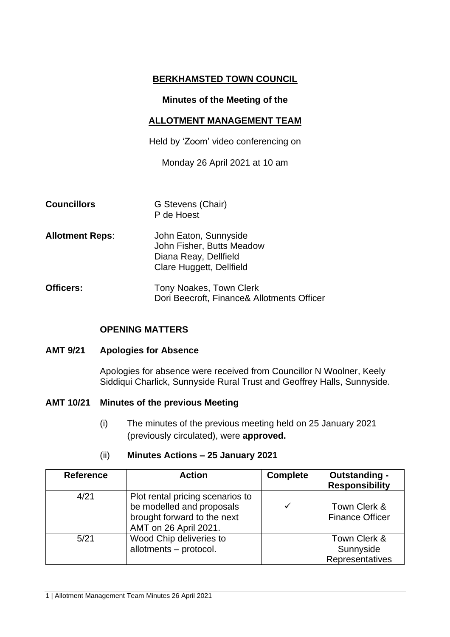# **BERKHAMSTED TOWN COUNCIL**

### **Minutes of the Meeting of the**

### **ALLOTMENT MANAGEMENT TEAM**

Held by 'Zoom' video conferencing on

Monday 26 April 2021 at 10 am

| <b>Councillors</b>     | G Stevens (Chair)<br>P de Hoest                                                                         |
|------------------------|---------------------------------------------------------------------------------------------------------|
| <b>Allotment Reps:</b> | John Eaton, Sunnyside<br>John Fisher, Butts Meadow<br>Diana Reay, Dellfield<br>Clare Huggett, Dellfield |
| <b>Officers:</b>       | Tony Noakes, Town Clerk<br>Dori Beecroft, Finance& Allotments Officer                                   |

# **OPENING MATTERS**

#### **AMT 9/21 Apologies for Absence**

Apologies for absence were received from Councillor N Woolner, Keely Siddiqui Charlick, Sunnyside Rural Trust and Geoffrey Halls, Sunnyside.

### **AMT 10/21 Minutes of the previous Meeting**

(i) The minutes of the previous meeting held on 25 January 2021 (previously circulated), were **approved.**

#### (ii) **Minutes Actions – 25 January 2021**

| <b>Reference</b> | <b>Action</b>                                                                                                         | <b>Complete</b> | <b>Outstanding -</b><br><b>Responsibility</b> |
|------------------|-----------------------------------------------------------------------------------------------------------------------|-----------------|-----------------------------------------------|
| 4/21             | Plot rental pricing scenarios to<br>be modelled and proposals<br>brought forward to the next<br>AMT on 26 April 2021. | $\checkmark$    | Town Clerk &<br><b>Finance Officer</b>        |
| 5/21             | Wood Chip deliveries to<br>allotments - protocol.                                                                     |                 | Town Clerk &<br>Sunnyside<br>Representatives  |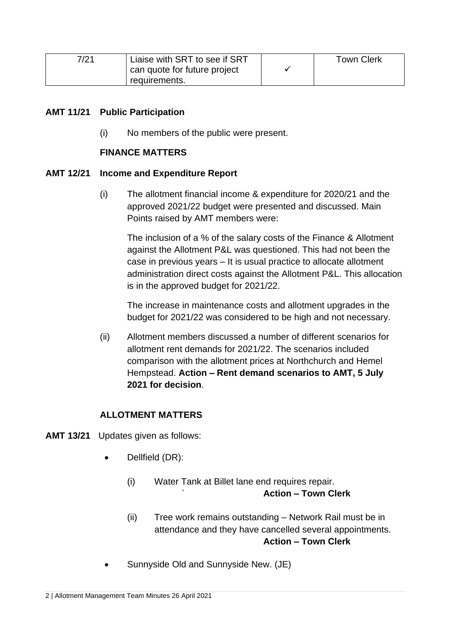| 7/21 | Liaise with SRT to see if SRT<br>can quote for future project | <b>Town Clerk</b> |
|------|---------------------------------------------------------------|-------------------|
|      | requirements.                                                 |                   |

# **AMT 11/21 Public Participation**

(i) No members of the public were present.

# **FINANCE MATTERS**

# **AMT 12/21 Income and Expenditure Report**

(i) The allotment financial income & expenditure for 2020/21 and the approved 2021/22 budget were presented and discussed. Main Points raised by AMT members were:

The inclusion of a % of the salary costs of the Finance & Allotment against the Allotment P&L was questioned. This had not been the case in previous years – It is usual practice to allocate allotment administration direct costs against the Allotment P&L. This allocation is in the approved budget for 2021/22.

The increase in maintenance costs and allotment upgrades in the budget for 2021/22 was considered to be high and not necessary.

(ii) Allotment members discussed a number of different scenarios for allotment rent demands for 2021/22. The scenarios included comparison with the allotment prices at Northchurch and Hemel Hempstead. **Action – Rent demand scenarios to AMT, 5 July 2021 for decision**.

# **ALLOTMENT MATTERS**

- **AMT 13/21** Updates given as follows:
	- Dellfield (DR):
		- (i) Water Tank at Billet lane end requires repair. ` **Action – Town Clerk**
		- (ii) Tree work remains outstanding Network Rail must be in attendance and they have cancelled several appointments. **Action – Town Clerk**
	- Sunnyside Old and Sunnyside New. (JE)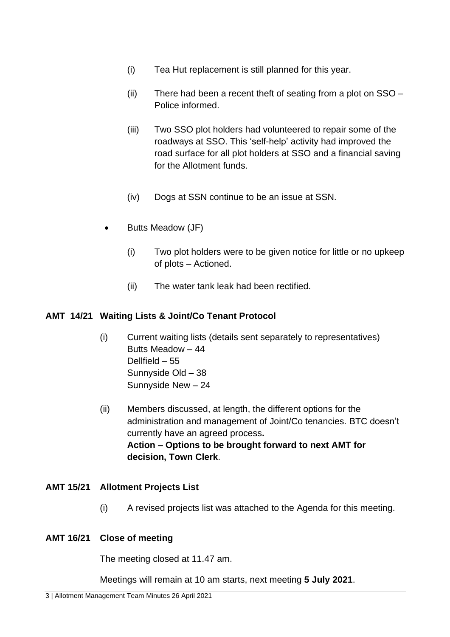- (i) Tea Hut replacement is still planned for this year.
- (ii) There had been a recent theft of seating from a plot on SSO Police informed.
- (iii) Two SSO plot holders had volunteered to repair some of the roadways at SSO. This 'self-help' activity had improved the road surface for all plot holders at SSO and a financial saving for the Allotment funds.
- (iv) Dogs at SSN continue to be an issue at SSN.
- Butts Meadow (JF)
	- (i) Two plot holders were to be given notice for little or no upkeep of plots – Actioned.
	- (ii) The water tank leak had been rectified.

# **AMT 14/21 Waiting Lists & Joint/Co Tenant Protocol**

- (i) Current waiting lists (details sent separately to representatives) Butts Meadow – 44 Dellfield – 55 Sunnyside Old – 38 Sunnyside New – 24
- (ii) Members discussed, at length, the different options for the administration and management of Joint/Co tenancies. BTC doesn't currently have an agreed process**. Action – Options to be brought forward to next AMT for decision, Town Clerk**.

# **AMT 15/21 Allotment Projects List**

(i) A revised projects list was attached to the Agenda for this meeting.

# **AMT 16/21 Close of meeting**

The meeting closed at 11.47 am.

Meetings will remain at 10 am starts, next meeting **5 July 2021**.